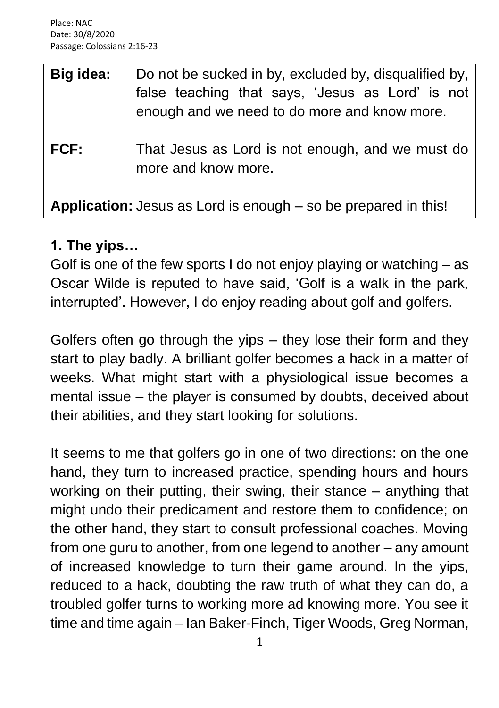| Big idea: | Do not be sucked in by, excluded by, disqualified by,<br>false teaching that says, 'Jesus as Lord' is not<br>enough and we need to do more and know more. |
|-----------|-----------------------------------------------------------------------------------------------------------------------------------------------------------|
| FCF:      | That Jesus as Lord is not enough, and we must do<br>more and know more.                                                                                   |
|           | Application: Jesus as Lord is enough – so be prepared in this!                                                                                            |

### **1. The yips…**

Golf is one of the few sports I do not enjoy playing or watching – as Oscar Wilde is reputed to have said, 'Golf is a walk in the park, interrupted'. However, I do enjoy reading about golf and golfers.

Golfers often go through the yips – they lose their form and they start to play badly. A brilliant golfer becomes a hack in a matter of weeks. What might start with a physiological issue becomes a mental issue – the player is consumed by doubts, deceived about their abilities, and they start looking for solutions.

It seems to me that golfers go in one of two directions: on the one hand, they turn to increased practice, spending hours and hours working on their putting, their swing, their stance – anything that might undo their predicament and restore them to confidence; on the other hand, they start to consult professional coaches. Moving from one guru to another, from one legend to another – any amount of increased knowledge to turn their game around. In the yips, reduced to a hack, doubting the raw truth of what they can do, a troubled golfer turns to working more ad knowing more. You see it time and time again – Ian Baker-Finch, Tiger Woods, Greg Norman,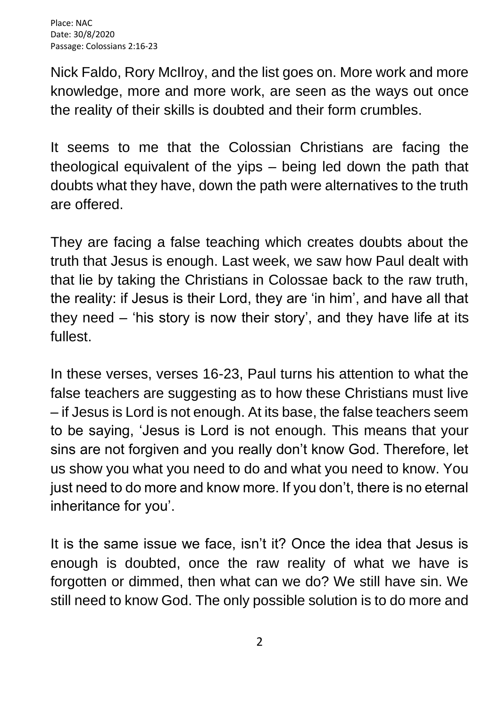Nick Faldo, Rory McIlroy, and the list goes on. More work and more knowledge, more and more work, are seen as the ways out once the reality of their skills is doubted and their form crumbles.

It seems to me that the Colossian Christians are facing the theological equivalent of the yips – being led down the path that doubts what they have, down the path were alternatives to the truth are offered.

They are facing a false teaching which creates doubts about the truth that Jesus is enough. Last week, we saw how Paul dealt with that lie by taking the Christians in Colossae back to the raw truth, the reality: if Jesus is their Lord, they are 'in him', and have all that they need – 'his story is now their story', and they have life at its fullest.

In these verses, verses 16-23, Paul turns his attention to what the false teachers are suggesting as to how these Christians must live – if Jesus is Lord is not enough. At its base, the false teachers seem to be saying, 'Jesus is Lord is not enough. This means that your sins are not forgiven and you really don't know God. Therefore, let us show you what you need to do and what you need to know. You just need to do more and know more. If you don't, there is no eternal inheritance for you'.

It is the same issue we face, isn't it? Once the idea that Jesus is enough is doubted, once the raw reality of what we have is forgotten or dimmed, then what can we do? We still have sin. We still need to know God. The only possible solution is to do more and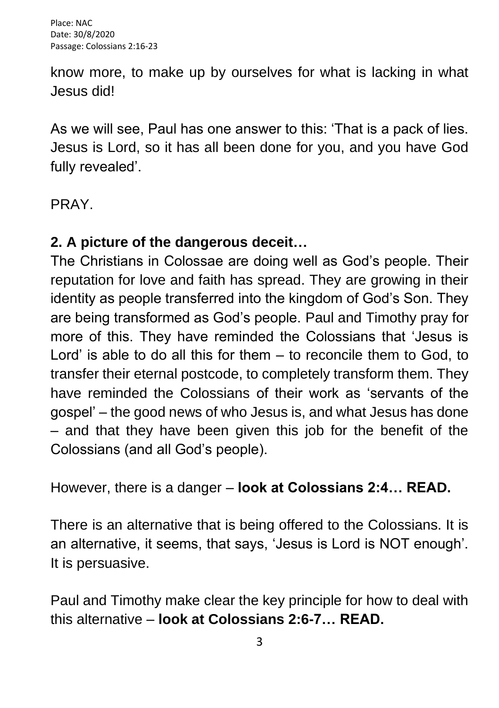know more, to make up by ourselves for what is lacking in what Jesus did!

As we will see, Paul has one answer to this: 'That is a pack of lies. Jesus is Lord, so it has all been done for you, and you have God fully revealed'.

PRAY.

## **2. A picture of the dangerous deceit…**

The Christians in Colossae are doing well as God's people. Their reputation for love and faith has spread. They are growing in their identity as people transferred into the kingdom of God's Son. They are being transformed as God's people. Paul and Timothy pray for more of this. They have reminded the Colossians that 'Jesus is Lord' is able to do all this for them – to reconcile them to God, to transfer their eternal postcode, to completely transform them. They have reminded the Colossians of their work as 'servants of the gospel' – the good news of who Jesus is, and what Jesus has done – and that they have been given this job for the benefit of the Colossians (and all God's people).

However, there is a danger – **look at Colossians 2:4… READ.**

There is an alternative that is being offered to the Colossians. It is an alternative, it seems, that says, 'Jesus is Lord is NOT enough'. It is persuasive.

Paul and Timothy make clear the key principle for how to deal with this alternative – **look at Colossians 2:6-7… READ.**

3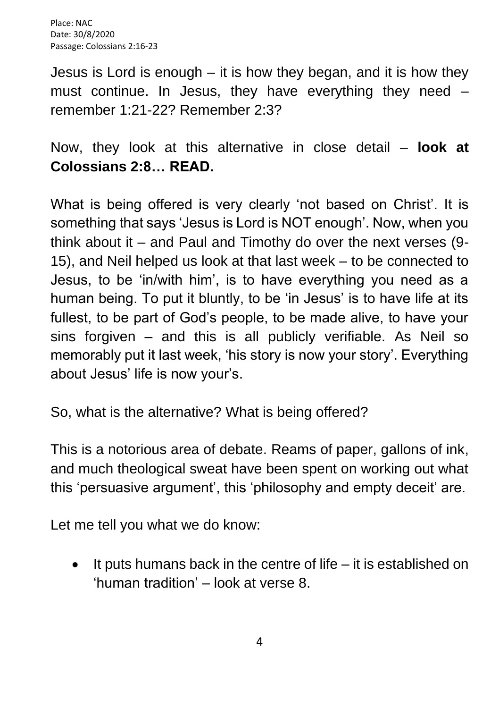Jesus is Lord is enough – it is how they began, and it is how they must continue. In Jesus, they have everything they need – remember 1:21-22? Remember 2:3?

Now, they look at this alternative in close detail – **look at Colossians 2:8… READ.**

What is being offered is very clearly 'not based on Christ'. It is something that says 'Jesus is Lord is NOT enough'. Now, when you think about it – and Paul and Timothy do over the next verses (9- 15), and Neil helped us look at that last week – to be connected to Jesus, to be 'in/with him', is to have everything you need as a human being. To put it bluntly, to be 'in Jesus' is to have life at its fullest, to be part of God's people, to be made alive, to have your sins forgiven – and this is all publicly verifiable. As Neil so memorably put it last week, 'his story is now your story'. Everything about Jesus' life is now your's.

So, what is the alternative? What is being offered?

This is a notorious area of debate. Reams of paper, gallons of ink, and much theological sweat have been spent on working out what this 'persuasive argument', this 'philosophy and empty deceit' are.

Let me tell you what we do know:

• It puts humans back in the centre of life – it is established on 'human tradition' – look at verse 8.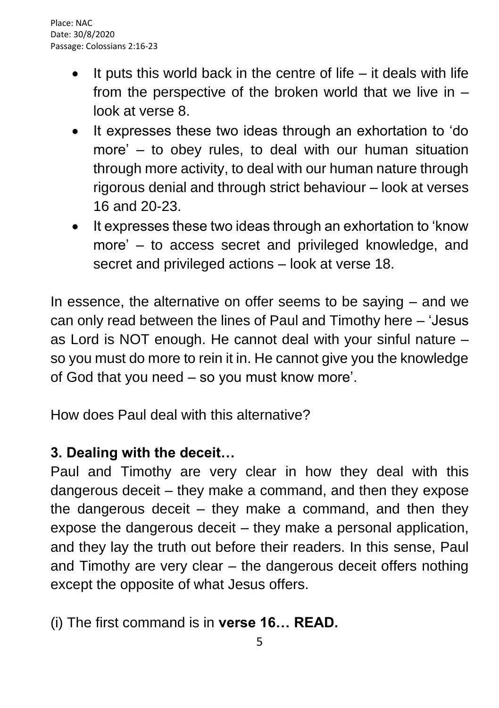- It puts this world back in the centre of life  $-$  it deals with life from the perspective of the broken world that we live in – look at verse 8.
- It expresses these two ideas through an exhortation to 'do more' – to obey rules, to deal with our human situation through more activity, to deal with our human nature through rigorous denial and through strict behaviour – look at verses 16 and 20-23.
- It expresses these two ideas through an exhortation to 'know more' – to access secret and privileged knowledge, and secret and privileged actions – look at verse 18.

In essence, the alternative on offer seems to be saying – and we can only read between the lines of Paul and Timothy here – 'Jesus as Lord is NOT enough. He cannot deal with your sinful nature – so you must do more to rein it in. He cannot give you the knowledge of God that you need – so you must know more'.

How does Paul deal with this alternative?

# **3. Dealing with the deceit…**

Paul and Timothy are very clear in how they deal with this dangerous deceit – they make a command, and then they expose the dangerous deceit  $-$  they make a command, and then they expose the dangerous deceit – they make a personal application, and they lay the truth out before their readers. In this sense, Paul and Timothy are very clear – the dangerous deceit offers nothing except the opposite of what Jesus offers.

## (i) The first command is in **verse 16… READ.**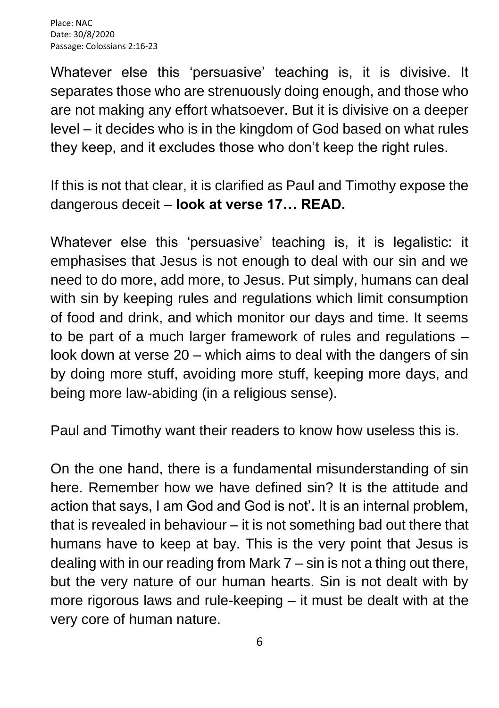Whatever else this 'persuasive' teaching is, it is divisive. It separates those who are strenuously doing enough, and those who are not making any effort whatsoever. But it is divisive on a deeper level – it decides who is in the kingdom of God based on what rules they keep, and it excludes those who don't keep the right rules.

If this is not that clear, it is clarified as Paul and Timothy expose the dangerous deceit – **look at verse 17… READ.**

Whatever else this 'persuasive' teaching is, it is legalistic: it emphasises that Jesus is not enough to deal with our sin and we need to do more, add more, to Jesus. Put simply, humans can deal with sin by keeping rules and regulations which limit consumption of food and drink, and which monitor our days and time. It seems to be part of a much larger framework of rules and regulations – look down at verse 20 – which aims to deal with the dangers of sin by doing more stuff, avoiding more stuff, keeping more days, and being more law-abiding (in a religious sense).

Paul and Timothy want their readers to know how useless this is.

On the one hand, there is a fundamental misunderstanding of sin here. Remember how we have defined sin? It is the attitude and action that says, I am God and God is not'. It is an internal problem, that is revealed in behaviour – it is not something bad out there that humans have to keep at bay. This is the very point that Jesus is dealing with in our reading from Mark 7 – sin is not a thing out there, but the very nature of our human hearts. Sin is not dealt with by more rigorous laws and rule-keeping – it must be dealt with at the very core of human nature.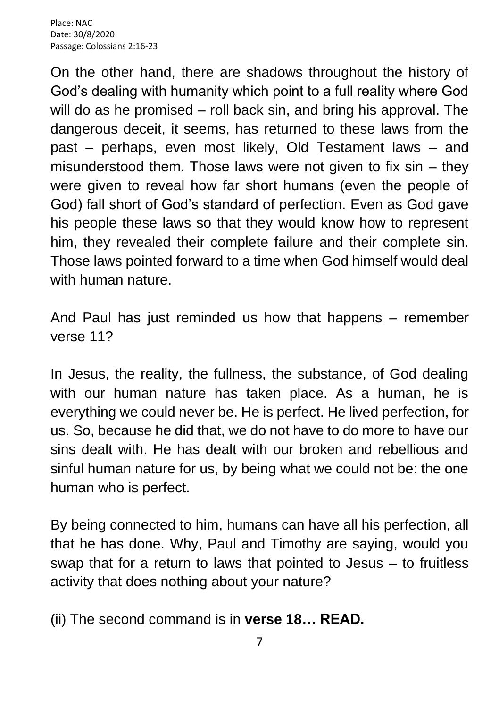On the other hand, there are shadows throughout the history of God's dealing with humanity which point to a full reality where God will do as he promised – roll back sin, and bring his approval. The dangerous deceit, it seems, has returned to these laws from the past – perhaps, even most likely, Old Testament laws – and misunderstood them. Those laws were not given to fix  $sin - they$ were given to reveal how far short humans (even the people of God) fall short of God's standard of perfection. Even as God gave his people these laws so that they would know how to represent him, they revealed their complete failure and their complete sin. Those laws pointed forward to a time when God himself would deal with human nature.

And Paul has just reminded us how that happens – remember verse 11?

In Jesus, the reality, the fullness, the substance, of God dealing with our human nature has taken place. As a human, he is everything we could never be. He is perfect. He lived perfection, for us. So, because he did that, we do not have to do more to have our sins dealt with. He has dealt with our broken and rebellious and sinful human nature for us, by being what we could not be: the one human who is perfect.

By being connected to him, humans can have all his perfection, all that he has done. Why, Paul and Timothy are saying, would you swap that for a return to laws that pointed to Jesus – to fruitless activity that does nothing about your nature?

(ii) The second command is in **verse 18… READ.**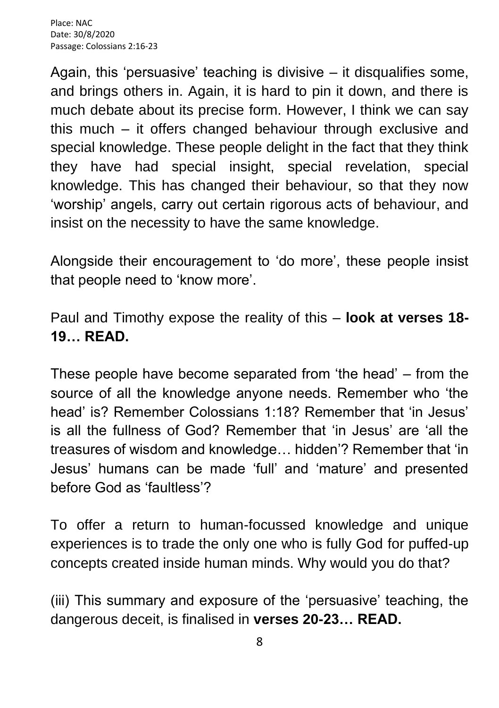Again, this 'persuasive' teaching is divisive – it disqualifies some, and brings others in. Again, it is hard to pin it down, and there is much debate about its precise form. However, I think we can say this much – it offers changed behaviour through exclusive and special knowledge. These people delight in the fact that they think they have had special insight, special revelation, special knowledge. This has changed their behaviour, so that they now 'worship' angels, carry out certain rigorous acts of behaviour, and insist on the necessity to have the same knowledge.

Alongside their encouragement to 'do more', these people insist that people need to 'know more'.

Paul and Timothy expose the reality of this – **look at verses 18- 19… READ.**

These people have become separated from 'the head' – from the source of all the knowledge anyone needs. Remember who 'the head' is? Remember Colossians 1:18? Remember that 'in Jesus' is all the fullness of God? Remember that 'in Jesus' are 'all the treasures of wisdom and knowledge… hidden'? Remember that 'in Jesus' humans can be made 'full' and 'mature' and presented before God as 'faultless'?

To offer a return to human-focussed knowledge and unique experiences is to trade the only one who is fully God for puffed-up concepts created inside human minds. Why would you do that?

(iii) This summary and exposure of the 'persuasive' teaching, the dangerous deceit, is finalised in **verses 20-23… READ.**

8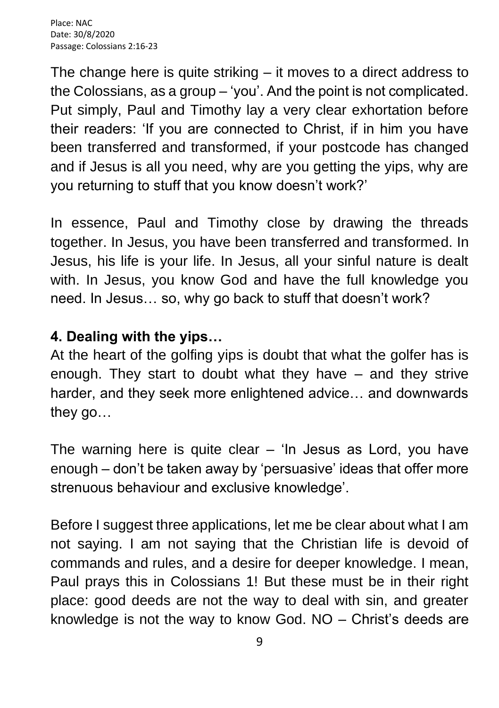The change here is quite striking  $-$  it moves to a direct address to the Colossians, as a group – 'you'. And the point is not complicated. Put simply, Paul and Timothy lay a very clear exhortation before their readers: 'If you are connected to Christ, if in him you have been transferred and transformed, if your postcode has changed and if Jesus is all you need, why are you getting the yips, why are you returning to stuff that you know doesn't work?'

In essence, Paul and Timothy close by drawing the threads together. In Jesus, you have been transferred and transformed. In Jesus, his life is your life. In Jesus, all your sinful nature is dealt with. In Jesus, you know God and have the full knowledge you need. In Jesus… so, why go back to stuff that doesn't work?

#### **4. Dealing with the yips…**

At the heart of the golfing yips is doubt that what the golfer has is enough. They start to doubt what they have – and they strive harder, and they seek more enlightened advice… and downwards they go…

The warning here is quite clear  $-$  'In Jesus as Lord, you have enough – don't be taken away by 'persuasive' ideas that offer more strenuous behaviour and exclusive knowledge'.

Before I suggest three applications, let me be clear about what I am not saying. I am not saying that the Christian life is devoid of commands and rules, and a desire for deeper knowledge. I mean, Paul prays this in Colossians 1! But these must be in their right place: good deeds are not the way to deal with sin, and greater knowledge is not the way to know God. NO – Christ's deeds are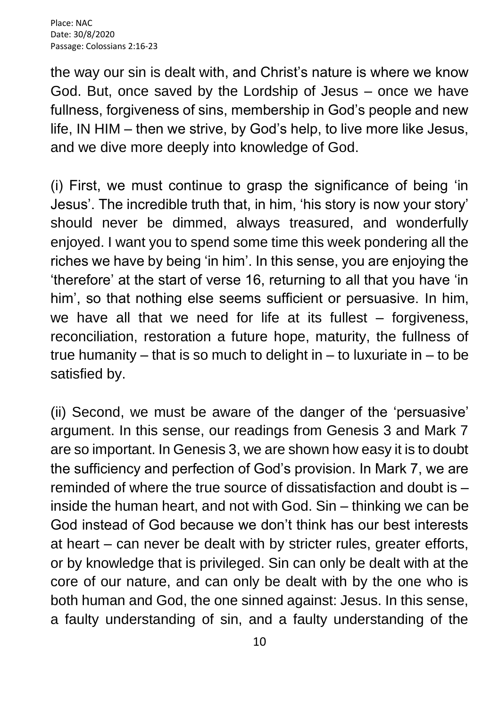the way our sin is dealt with, and Christ's nature is where we know God. But, once saved by the Lordship of Jesus – once we have fullness, forgiveness of sins, membership in God's people and new life, IN HIM – then we strive, by God's help, to live more like Jesus, and we dive more deeply into knowledge of God.

(i) First, we must continue to grasp the significance of being 'in Jesus'. The incredible truth that, in him, 'his story is now your story' should never be dimmed, always treasured, and wonderfully enjoyed. I want you to spend some time this week pondering all the riches we have by being 'in him'. In this sense, you are enjoying the 'therefore' at the start of verse 16, returning to all that you have 'in him', so that nothing else seems sufficient or persuasive. In him, we have all that we need for life at its fullest – forgiveness, reconciliation, restoration a future hope, maturity, the fullness of true humanity – that is so much to delight in – to luxuriate in – to be satisfied by.

(ii) Second, we must be aware of the danger of the 'persuasive' argument. In this sense, our readings from Genesis 3 and Mark 7 are so important. In Genesis 3, we are shown how easy it is to doubt the sufficiency and perfection of God's provision. In Mark 7, we are reminded of where the true source of dissatisfaction and doubt is – inside the human heart, and not with God. Sin – thinking we can be God instead of God because we don't think has our best interests at heart – can never be dealt with by stricter rules, greater efforts, or by knowledge that is privileged. Sin can only be dealt with at the core of our nature, and can only be dealt with by the one who is both human and God, the one sinned against: Jesus. In this sense, a faulty understanding of sin, and a faulty understanding of the